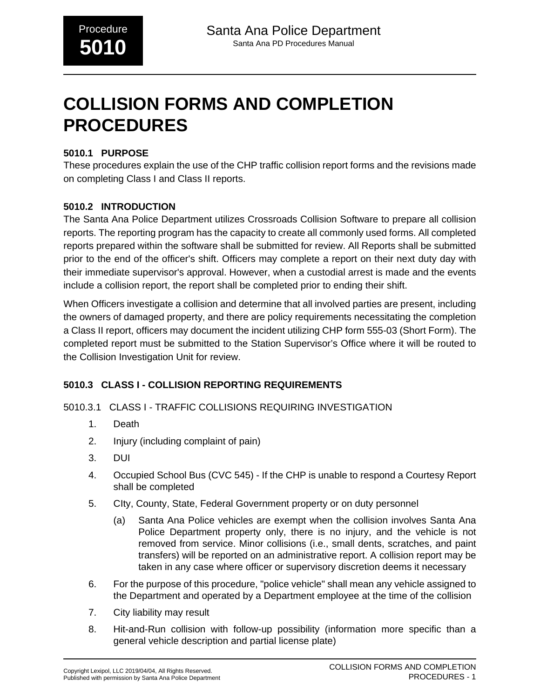# **COLLISION FORMS AND COMPLETION PROCEDURES**

#### **5010.1 PURPOSE**

These procedures explain the use of the CHP traffic collision report forms and the revisions made on completing Class I and Class II reports.

### **5010.2 INTRODUCTION**

The Santa Ana Police Department utilizes Crossroads Collision Software to prepare all collision reports. The reporting program has the capacity to create all commonly used forms. All completed reports prepared within the software shall be submitted for review. All Reports shall be submitted prior to the end of the officer's shift. Officers may complete a report on their next duty day with their immediate supervisor's approval. However, when a custodial arrest is made and the events include a collision report, the report shall be completed prior to ending their shift.

When Officers investigate a collision and determine that all involved parties are present, including the owners of damaged property, and there are policy requirements necessitating the completion a Class II report, officers may document the incident utilizing CHP form 555-03 (Short Form). The completed report must be submitted to the Station Supervisor's Office where it will be routed to the Collision Investigation Unit for review.

### **5010.3 CLASS I - COLLISION REPORTING REQUIREMENTS**

5010.3.1 CLASS I - TRAFFIC COLLISIONS REQUIRING INVESTIGATION

- 1. Death
- 2. Injury (including complaint of pain)
- 3. DUI
- 4. Occupied School Bus (CVC 545) If the CHP is unable to respond a Courtesy Report shall be completed
- 5. CIty, County, State, Federal Government property or on duty personnel
	- (a) Santa Ana Police vehicles are exempt when the collision involves Santa Ana Police Department property only, there is no injury, and the vehicle is not removed from service. Minor collisions (i.e., small dents, scratches, and paint transfers) will be reported on an administrative report. A collision report may be taken in any case where officer or supervisory discretion deems it necessary
- 6. For the purpose of this procedure, "police vehicle" shall mean any vehicle assigned to the Department and operated by a Department employee at the time of the collision
- 7. City liability may result
- 8. Hit-and-Run collision with follow-up possibility (information more specific than a general vehicle description and partial license plate)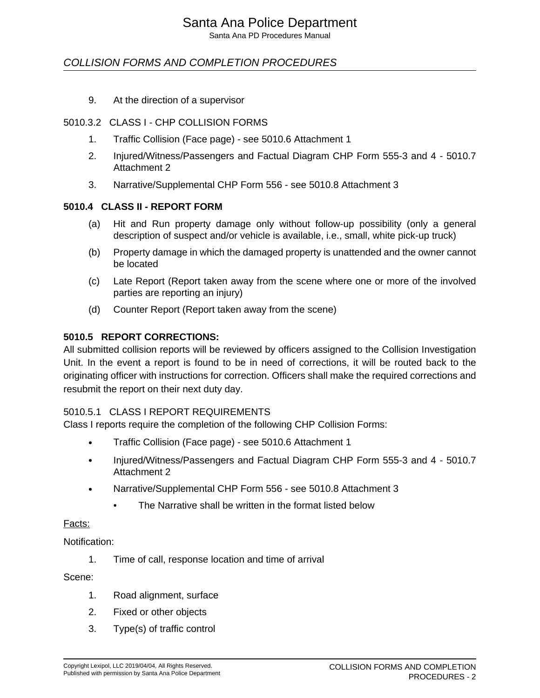Santa Ana PD Procedures Manual

### COLLISION FORMS AND COMPLETION PROCEDURES

9. At the direction of a supervisor

#### 5010.3.2 CLASS I - CHP COLLISION FORMS

- 1. Traffic Collision (Face page) see 5010.6 Attachment 1
- 2. Injured/Witness/Passengers and Factual Diagram CHP Form 555-3 and 4 5010.7 Attachment 2
- 3. Narrative/Supplemental CHP Form 556 see 5010.8 Attachment 3

#### **5010.4 CLASS II - REPORT FORM**

- (a) Hit and Run property damage only without follow-up possibility (only a general description of suspect and/or vehicle is available, i.e., small, white pick-up truck)
- (b) Property damage in which the damaged property is unattended and the owner cannot be located
- (c) Late Report (Report taken away from the scene where one or more of the involved parties are reporting an injury)
- (d) Counter Report (Report taken away from the scene)

#### **5010.5 REPORT CORRECTIONS:**

All submitted collision reports will be reviewed by officers assigned to the Collision Investigation Unit. In the event a report is found to be in need of corrections, it will be routed back to the originating officer with instructions for correction. Officers shall make the required corrections and resubmit the report on their next duty day.

#### 5010.5.1 CLASS I REPORT REQUIREMENTS

Class I reports require the completion of the following CHP Collision Forms:

- Traffic Collision (Face page) see 5010.6 Attachment 1
- Injured/Witness/Passengers and Factual Diagram CHP Form 555-3 and 4 5010.7 Attachment 2
- Narrative/Supplemental CHP Form 556 see 5010.8 Attachment 3
	- The Narrative shall be written in the format listed below

#### Facts:

Notification:

1. Time of call, response location and time of arrival

#### Scene:

- 1. Road alignment, surface
- 2. Fixed or other objects
- 3. Type(s) of traffic control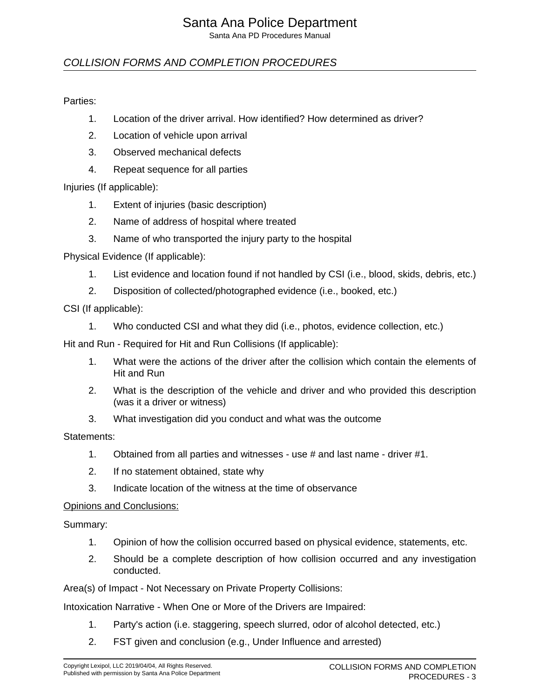Santa Ana PD Procedures Manual

### COLLISION FORMS AND COMPLETION PROCEDURES

#### Parties:

- 1. Location of the driver arrival. How identified? How determined as driver?
- 2. Location of vehicle upon arrival
- 3. Observed mechanical defects
- 4. Repeat sequence for all parties

Injuries (If applicable):

- 1. Extent of injuries (basic description)
- 2. Name of address of hospital where treated
- 3. Name of who transported the injury party to the hospital

Physical Evidence (If applicable):

- 1. List evidence and location found if not handled by CSI (i.e., blood, skids, debris, etc.)
- 2. Disposition of collected/photographed evidence (i.e., booked, etc.)

CSI (If applicable):

1. Who conducted CSI and what they did (i.e., photos, evidence collection, etc.)

Hit and Run - Required for Hit and Run Collisions (If applicable):

- 1. What were the actions of the driver after the collision which contain the elements of Hit and Run
- 2. What is the description of the vehicle and driver and who provided this description (was it a driver or witness)
- 3. What investigation did you conduct and what was the outcome

Statements:

- 1. Obtained from all parties and witnesses use # and last name driver #1.
- 2. If no statement obtained, state why
- 3. Indicate location of the witness at the time of observance

#### Opinions and Conclusions:

Summary:

- 1. Opinion of how the collision occurred based on physical evidence, statements, etc.
- 2. Should be a complete description of how collision occurred and any investigation conducted.

Area(s) of Impact - Not Necessary on Private Property Collisions:

Intoxication Narrative - When One or More of the Drivers are Impaired:

- 1. Party's action (i.e. staggering, speech slurred, odor of alcohol detected, etc.)
- 2. FST given and conclusion (e.g., Under Influence and arrested)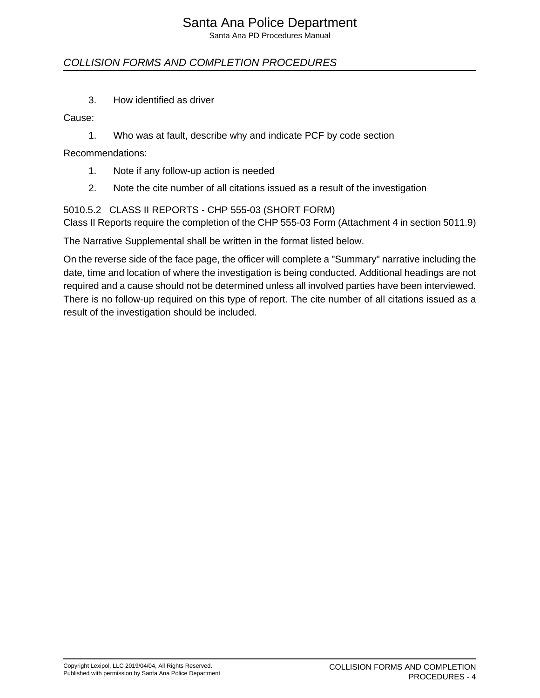Santa Ana PD Procedures Manual

## COLLISION FORMS AND COMPLETION PROCEDURES

3. How identified as driver

Cause:

1. Who was at fault, describe why and indicate PCF by code section

Recommendations:

- 1. Note if any follow-up action is needed
- 2. Note the cite number of all citations issued as a result of the investigation

### 5010.5.2 CLASS II REPORTS - CHP 555-03 (SHORT FORM)

Class II Reports require the completion of the CHP 555-03 Form (Attachment 4 in section 5011.9)

The Narrative Supplemental shall be written in the format listed below.

On the reverse side of the face page, the officer will complete a "Summary" narrative including the date, time and location of where the investigation is being conducted. Additional headings are not required and a cause should not be determined unless all involved parties have been interviewed. There is no follow-up required on this type of report. The cite number of all citations issued as a result of the investigation should be included.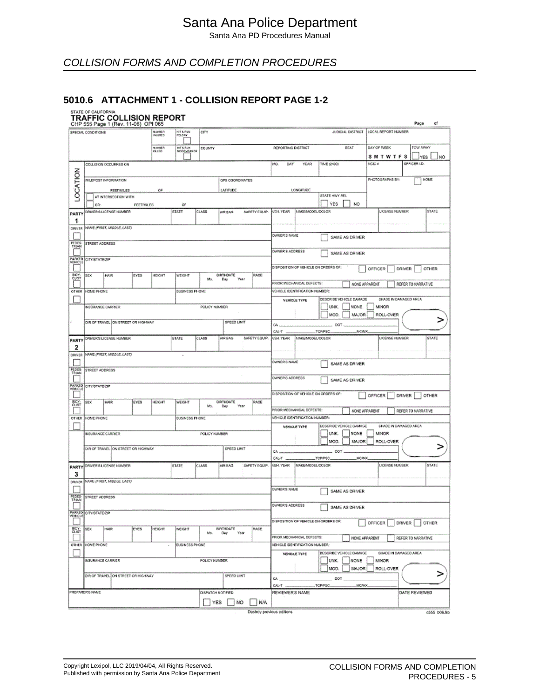Santa Ana PD Procedures Manual

## COLLISION FORMS AND COMPLETION PROCEDURES

#### **5010.6 ATTACHMENT 1 - COLLISION REPORT PAGE 1-2**

## **STATE OF CALIFORNIA**<br>TRAFFIC COLLISION REPORT

|                   |                          | CHP 555 Page 1 (Rev. 11-06) OPI 065 |                  |                   |                                   |                   |                        |               |                                |                                |                                      |                                         | Page<br>of         |
|-------------------|--------------------------|-------------------------------------|------------------|-------------------|-----------------------------------|-------------------|------------------------|---------------|--------------------------------|--------------------------------|--------------------------------------|-----------------------------------------|--------------------|
|                   | SPECIAL CONDITIONS       |                                     |                  | NUMBER<br>INJURED | <b>HIT &amp; RUN</b><br>FELONY    | CITY              |                        |               |                                |                                |                                      | JUDICIAL DISTRICT   LOCAL REPORT NUMBER |                    |
|                   |                          |                                     |                  |                   |                                   |                   |                        |               |                                |                                |                                      |                                         |                    |
|                   |                          |                                     |                  | NUMBER<br>Keled   | HIT & RUN<br>MISD <u>EMEA</u> NDR | COUNTY            |                        |               | REPORTING DISTRICT             |                                | BEAT                                 | DAY OF WEEK                             | TOW AWAY           |
|                   |                          |                                     |                  |                   |                                   |                   |                        |               |                                |                                |                                      | <b>SMTWTFS</b>                          | NO<br>YES          |
|                   |                          | COLLISION OCCURRED ON               |                  |                   |                                   |                   |                        |               | MO.<br>DAY                     | YEAR                           | TIME (2400)                          | NOIC #                                  | OFFICER LD.        |
|                   |                          |                                     |                  |                   |                                   |                   |                        |               |                                |                                |                                      |                                         |                    |
| LOCATION          |                          |                                     |                  |                   |                                   |                   |                        |               |                                |                                |                                      | PHOTOGRAPHS BY:                         | NONE               |
|                   |                          | MEEPOST INFORMATION                 |                  |                   |                                   |                   | <b>GPS COORDINATES</b> |               |                                |                                |                                      |                                         |                    |
|                   |                          | FEET/MILES                          |                  | оe                |                                   |                   | LATITUDE               |               |                                | LONGITUDE                      |                                      |                                         |                    |
|                   |                          | AT INTERSECTION WITH                |                  |                   |                                   |                   |                        |               |                                |                                | STATE HWY REL                        |                                         |                    |
|                   | OR:                      |                                     | <b>FEETINLES</b> |                   | <b>OF</b>                         |                   |                        |               |                                |                                | YES<br>NO <sub></sub>                |                                         |                    |
| PARTY             |                          | DRIVER'S LICENSE NUMBER.            |                  |                   | <b>STATE</b>                      | <b>CLASS</b>      | AIR BAG                |               | SAFETY EQUIP. VEH. YEAR        | <b>MAKEMODEL/COLOR</b>         |                                      | <b>LICENSE NUMBER</b>                   | STATE              |
| 1                 |                          |                                     |                  |                   |                                   |                   |                        |               |                                |                                |                                      |                                         |                    |
| DRIVER            |                          | NAME (FIRST, MODLE, LAST)           |                  |                   |                                   |                   |                        |               |                                |                                |                                      |                                         |                    |
|                   |                          |                                     |                  |                   |                                   |                   |                        |               | OWNER'S NAME                   |                                | SAME AS DRIVER                       |                                         |                    |
| <b>PEDES</b>      | STREET ADDRESS           |                                     |                  |                   |                                   |                   |                        |               |                                |                                |                                      |                                         |                    |
|                   |                          |                                     |                  |                   |                                   |                   |                        |               | <b>OWNER'S ADDRESS</b>         |                                | SAME AS DRIVER                       |                                         |                    |
| PARKED<br>VEHICLE | <b>CITY/STATE/ZIP</b>    |                                     |                  |                   |                                   |                   |                        |               |                                |                                |                                      |                                         |                    |
|                   |                          |                                     |                  |                   |                                   |                   |                        |               |                                |                                | DISPOSITION OF VEHICLE ON ORDERS OF: | OFFICER                                 | DRIVER<br>OTHER    |
| BICY-<br>CUST     | SEX                      | HAIR                                | EYES             | <b>HEKHT</b>      | WEIGHT                            |                   |                        | RACE          |                                |                                |                                      |                                         |                    |
|                   |                          |                                     |                  |                   |                                   | Mo.               | BIRTHDATE<br>Day Year  |               | PRIOR MECHANICAL DEFECTS:      |                                | NONE APPARENT                        |                                         | REFER TO NARRATIVE |
| OTHER             | HOME PHONE               |                                     |                  |                   | <b>BUSINESS PHONE</b>             |                   |                        |               |                                | VEHICLE IDENTIFICATION NUMBER: |                                      |                                         |                    |
|                   |                          |                                     |                  |                   |                                   |                   |                        |               |                                |                                | DESCRIBE VEHICLE DAMAGE              | SHADE IN DAMAGED AREA                   |                    |
|                   | <b>INSÚRANCE CARRIER</b> |                                     |                  |                   |                                   | POLICY NUMBER     |                        |               |                                | <b>VEHICLE TYPE</b>            | UNK.<br>NONE.                        | <b>MINOR</b>                            |                    |
|                   |                          |                                     |                  |                   |                                   |                   |                        |               |                                |                                |                                      |                                         |                    |
|                   |                          | DIR OF TRAVEL ON STREET OR HIGHWAY  |                  |                   |                                   |                   |                        |               |                                |                                | MOD.<br><b>MAJOR</b>                 | ROLL-OVER                               |                    |
|                   |                          |                                     |                  |                   |                                   |                   | SPEED LIMIT            |               | <b>CA</b>                      |                                | DOT                                  |                                         |                    |
|                   |                          |                                     |                  |                   |                                   |                   |                        |               | CAL-T                          |                                | TCP/PSC.<br>_MCA/X_                  |                                         |                    |
| <b>PARTY</b>      |                          | DRIVER'S LICENSE NUMBER             |                  |                   | <b>STATE</b>                      | <b>CLASS</b>      | AIR BAG                | SAFETY EQUIP. | VEH. YEAR MAKE/MODEL/COLOR     |                                |                                      | <b>LICENSE NUMBER</b>                   | <b>STATE</b>       |
| 2                 |                          |                                     |                  |                   |                                   |                   |                        |               |                                |                                |                                      |                                         |                    |
| DRIVER            |                          | NAME (FIRST, MODLE, LAST)           |                  |                   | ×                                 |                   |                        |               |                                |                                |                                      |                                         |                    |
|                   |                          |                                     |                  |                   |                                   |                   |                        |               | OWNER'S NAME                   |                                | SAME AS DRIVER                       |                                         |                    |
| PEDES-            | STREET ADDRESS           |                                     |                  |                   |                                   |                   |                        |               |                                |                                |                                      |                                         |                    |
|                   |                          |                                     |                  |                   |                                   |                   |                        |               | <b>OWNER'S ADDRESS</b>         |                                | SAME AS DRIVER                       |                                         |                    |
| PARKED            | CITY/STATE/ZIP           |                                     |                  |                   |                                   |                   |                        |               |                                |                                |                                      |                                         |                    |
|                   |                          |                                     |                  |                   |                                   |                   |                        |               |                                |                                | DISPOSITION OF VEHICLE ON ORDERS OF: | OFFICER                                 | DRIVER OTHER       |
| BICY-<br>CLIST    | SEX                      | HAIR                                | <b>EYES</b>      | <b>HEIGHT</b>     | WEIGHT                            | Mo.               | BIRTHDATE.<br>Day Year | RACE          |                                |                                |                                      |                                         |                    |
|                   |                          |                                     |                  |                   |                                   |                   |                        |               |                                | PRIOR MECHANICAL DEFECTS:      | NONE APPARENT                        |                                         | REFER TO NARRATIVE |
| OTHER             | HOME PHONE               |                                     |                  |                   | BUSINESS PHONE                    |                   |                        |               |                                | VEHICLE IDENTIFICATION NUMBER: |                                      |                                         |                    |
|                   |                          |                                     |                  |                   |                                   |                   |                        |               |                                | VEHICLE TYPE                   | DESCRIBE VEHICLE DAMAGE              | SHADE IN DAMAGED AREA                   |                    |
|                   | INSURANCE CARRIER        |                                     |                  |                   |                                   | POLICY NUMBER     |                        |               |                                |                                | UNK.<br><b>NONE</b>                  | <b>MINOR</b>                            |                    |
|                   |                          |                                     |                  |                   |                                   |                   |                        |               |                                |                                | <b>MAJOR</b><br>MOD.                 | ROLL-OVER                               |                    |
|                   |                          | DIR OF TRAVEL ON STREET OR HIGHWAY  |                  |                   |                                   |                   | SPEED LIMIT            |               | $CA$ <sub>m</sub>              |                                | . DOT .                              |                                         |                    |
|                   |                          |                                     |                  |                   |                                   |                   |                        |               | CAL-T                          |                                | .TCP/PSC.<br>MCAAX.                  |                                         |                    |
|                   |                          | PARTY DRIVER'S LICENSE NUMBER       |                  |                   | <b>STATE</b>                      | CLASS             | AIR BAG                | SAFETY EQUIP. | VEH. YEAR MAKEMODEL/COLOR      |                                |                                      | LICENSE NUMBER                          | <b>STATE</b>       |
| з                 |                          |                                     |                  |                   |                                   |                   |                        |               |                                |                                |                                      |                                         |                    |
| DRIVER            |                          | NAVE (FIRST, MDDLE, LAST)           |                  |                   |                                   |                   |                        |               |                                |                                |                                      |                                         |                    |
|                   |                          |                                     |                  |                   |                                   |                   |                        |               | <b>OWNER'S NAME</b>            |                                |                                      |                                         |                    |
| PEDES-            | STREET ADDRESS           |                                     |                  |                   |                                   |                   |                        |               |                                |                                | SAME AS DRIVER                       |                                         |                    |
|                   |                          |                                     |                  |                   |                                   |                   |                        |               | OWNER'S ADDRESS                |                                |                                      |                                         |                    |
|                   |                          |                                     |                  |                   |                                   |                   |                        |               |                                |                                | SAME AS DRIVER                       |                                         |                    |
|                   | PARKED CITY/STATE/2IP    |                                     |                  |                   |                                   |                   |                        |               |                                |                                | DISPOSITION OF VEHICLE ON ORDERS OF: |                                         |                    |
|                   | SEX.                     | HAIR                                | EYES             | HEIGHT            | WEIGHT                            |                   | <b>BIRTHDATE</b>       | RACE          |                                |                                |                                      | OFFICER                                 | DRIVER<br>OTHER    |
| BICY:<br>CLIST    |                          |                                     |                  |                   |                                   | Mo.               | Day<br>Year            |               | PRIOR MECHANICAL DEFECTS:      |                                |                                      |                                         |                    |
|                   | HOME PHONE               |                                     |                  |                   | BUSINESS PHONE                    |                   |                        |               | VEHICLE IDENTIFICATION NUMBER: |                                | NONE APPARENT                        |                                         | REFER TO MARRATIVE |
| OTHER             |                          |                                     |                  |                   |                                   |                   |                        |               |                                |                                |                                      |                                         |                    |
|                   |                          |                                     |                  |                   |                                   |                   |                        |               |                                | <b>VEHICLE TYPE</b>            | DESCRIBE VEHICLE DAMAGE              | SHADE IN DANAGED AREA                   |                    |
|                   | <b>NSURANCE CARRIER</b>  |                                     |                  |                   |                                   | POLICY NUMBER     |                        |               |                                |                                | UNK.<br>NONE                         | <b>MINOR</b>                            |                    |
|                   |                          |                                     |                  |                   |                                   |                   |                        |               |                                |                                | MOD.<br><b>MAJOR</b>                 | ROLL-OVER                               | ⋗                  |
|                   |                          | DIR OF TRAVEL ON STREET OR HIGHWAY  |                  |                   |                                   |                   | SPEED UMIT             |               | CA.                            |                                | DOT.                                 |                                         |                    |
|                   |                          |                                     |                  |                   |                                   |                   |                        |               | CAL-T                          |                                | TOP/PSC.<br>MC/MX                    |                                         |                    |
|                   | PREPARER'S NAME          |                                     |                  |                   |                                   | DISPATCH NOTIFIED |                        |               | REVIEWER'S NAME                |                                |                                      |                                         | DATE REVIEWED      |
|                   |                          |                                     |                  |                   |                                   |                   | YES NO                 | N/A           |                                |                                |                                      |                                         |                    |
|                   |                          |                                     |                  |                   |                                   |                   |                        |               | Destroy previous editions.     |                                |                                      |                                         | c555 b06.fro       |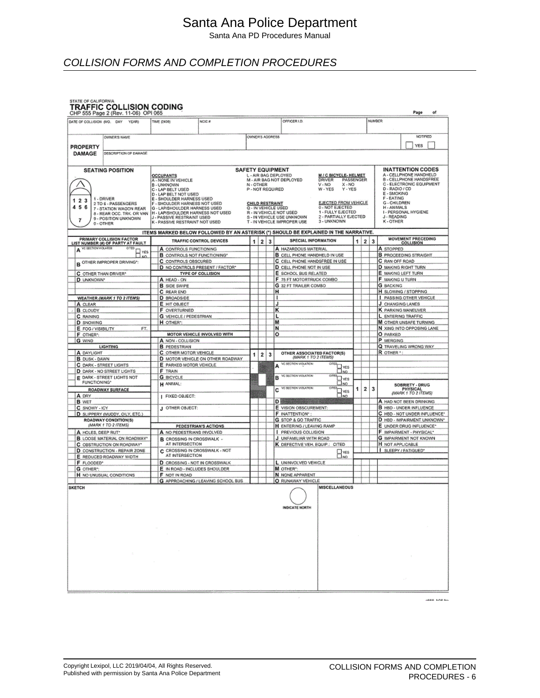Santa Ana PD Procedures Manual

### COLLISION FORMS AND COMPLETION PROCEDURES

## **STATE OF CALIFORNIA**<br>TRAFFIC COLLISION CODING

| CHP 555 Page 2 (Rev. 11-06) OPI 065                                  |                                                                    |                                    |                         |   |   |                                                                                      |   |                               | Page<br>of                                                     |
|----------------------------------------------------------------------|--------------------------------------------------------------------|------------------------------------|-------------------------|---|---|--------------------------------------------------------------------------------------|---|-------------------------------|----------------------------------------------------------------|
| DATE OF COLLISION (MO. DAY<br>YEAR)                                  | TIME (2400)                                                        | NCIC #                             |                         |   |   | OFFICER LD.                                                                          |   |                               | NUMBER                                                         |
|                                                                      |                                                                    |                                    |                         |   |   |                                                                                      |   |                               |                                                                |
| <b>OWNER'S NAME</b>                                                  |                                                                    |                                    | OWNER'S ADDRESS         |   |   |                                                                                      |   |                               | <b>NOTIFIED</b>                                                |
|                                                                      |                                                                    |                                    |                         |   |   |                                                                                      |   |                               |                                                                |
| <b>PROPERTY</b>                                                      |                                                                    |                                    |                         |   |   |                                                                                      |   |                               | <b>YES</b>                                                     |
| <b>DAMAGE</b><br>DESCRIPTION OF DAMAGE                               |                                                                    |                                    |                         |   |   |                                                                                      |   |                               |                                                                |
|                                                                      |                                                                    |                                    |                         |   |   |                                                                                      |   |                               |                                                                |
| <b>SEATING POSITION</b>                                              |                                                                    |                                    | <b>SAFETY EQUIPMENT</b> |   |   |                                                                                      |   |                               | <b>INATTENTION CODES</b>                                       |
|                                                                      | <b>OCCUPANTS</b>                                                   |                                    |                         |   |   | L - AIR BAG DEPLOYED<br><b>M/C BICYCLE-HELMET</b>                                    |   |                               | A - CELLPHONE HANDHELD                                         |
|                                                                      | A - NONE IN VEHICLE<br><b>B - UNKNOWN</b>                          |                                    | N-OTHER                 |   |   | M - AIR BAG NOT DEPLOYED<br><b>DRIVER</b><br>PASSENGER<br>$X - NO$<br>V-NO           |   |                               | B - CELLPHONE HANDSFREE<br>C - ELECTRONIC EQUIPMENT            |
|                                                                      | C - LAP BELT USED                                                  |                                    | P - NOT REQUIRED        |   |   | Y - YES<br>W - YES                                                                   |   |                               | D - RADIO / CD                                                 |
| 1 - DRIVER                                                           | D - LAP BELT NOT USED<br>E - SHOULDER HARNESS USED                 |                                    |                         |   |   |                                                                                      |   |                               | E - SMOKING<br><b>F-EATING</b>                                 |
| 23<br>1<br>2 TO 6 - PASSENGERS<br>456                                | F - SHOULDER HARNESS NOT USED                                      |                                    | <b>CHILD RESTRAINT</b>  |   |   | EJECTED FROM VEHICLE<br>0 - NOT EJECTED                                              |   |                               | G - CHILDREN                                                   |
| 7 - STATION WAGON REAR<br>8 - REAR OCC. TRK. OR VAN                  | G - LAP/SHOULDER HARNESS USED<br>H - LAP/SHOULDER HARNESS NOT USED |                                    | Q - IN VEHICLE USED     |   |   | 1 - FULLY EJECTED<br>R - IN VEHICLE NOT USED                                         |   |                               | H - ANIMALS<br>- PERSONAL HYGIENE                              |
| 9 - POSITION UNKNOWN<br>7                                            | J - PASSIVE RESTRAINT USED                                         |                                    |                         |   |   | 2 - PARTIALLY EJECTED<br>S - IN VEHICLE USE UNKNOWN                                  |   |                               | J - READING                                                    |
| 0-OTHER                                                              | K - PASSIVE RESTRAINT NOT USED                                     |                                    |                         |   |   | 3 - UNKNOWN<br>T - IN VEHICLE IMPROPER USE                                           |   |                               | K-OTHER                                                        |
|                                                                      |                                                                    |                                    |                         |   |   | ITEMS MARKED BELOW FOLLOWED BY AN ASTERISK (*) SHOULD BE EXPLAINED IN THE NARRATIVE. |   |                               |                                                                |
| <b>PRIMARY COLLISION FACTOR</b><br>LIST NUMBER (#) OF PARTY AT FAULT |                                                                    | <b>TRAFFIC CONTROL DEVICES</b>     | 1                       | 2 | 3 | SPECIAL INFORMATION                                                                  | 1 | 2 <br>$\overline{\mathbf{3}}$ | <b>MOVEMENT PRECEDING</b>                                      |
| VC SECTION VIOLATED.<br>OTED                                         |                                                                    |                                    |                         |   |   |                                                                                      |   |                               | <b>COLLISION</b>                                               |
| А<br>YES                                                             | A CONTROLS FUNCTIONING                                             |                                    |                         |   |   | A HAZARDOUS MATERIAL<br><b>B</b> CELL PHONE HANDHELD IN USE                          |   |                               | A STOPPED<br><b>B</b> PROCEEDING STRAIGHT                      |
| AM <sub>2</sub><br>B OTHER IMPROPER DRIVING*                         | <b>B</b> CONTROLS NOT FUNCTIONING*<br>C CONTROLS OBSCURED          |                                    |                         |   |   | C CELL PHONE HANDSFREE IN USE                                                        |   |                               | <b>C</b> RAN OFF ROAD                                          |
|                                                                      |                                                                    | D NO CONTROLS PRESENT / FACTOR*    |                         |   |   | D CELL PHONE NOT IN USE                                                              |   |                               | <b>D</b> MAKING RIGHT TURN                                     |
| C OTHER THAN DRIVER*                                                 |                                                                    | TYPE OF COLLISION                  |                         |   |   | E SCHOOL BUS RELATED                                                                 |   |                               | E MAKING LEFT TURN                                             |
| <b>D</b> UNKNOWN*                                                    | A HEAD - ON                                                        |                                    |                         |   |   | F 75 FT MOTORTRUCK COMBO                                                             |   |                               | F MAKING U TURN                                                |
|                                                                      | <b>B</b> SIDE SWIPE                                                |                                    |                         |   |   | G 32 FT TRAILER COMBO                                                                |   |                               | <b>G</b> BACKING                                               |
|                                                                      | C REAR END                                                         |                                    |                         |   |   | н                                                                                    |   |                               | H SLOWING / STOPPING                                           |
| <b>WEATHER (MARK 1 TO 2 ITEMS)</b>                                   | D SROADSIDE                                                        |                                    |                         |   |   |                                                                                      |   |                               | PASSING OTHER VEHICLE                                          |
| A CLEAR                                                              | E HIT OBJECT<br><b>F</b> OVERTURNED                                |                                    |                         |   | J | κ                                                                                    |   |                               | J. CHANGING LANES<br><b>K</b> PARKING MANEUVER                 |
| <b>B</b> CLOUDY<br><b>C RAINING</b>                                  | <b>G</b> VEHICLE / PEDESTRIAN                                      |                                    |                         |   |   |                                                                                      |   |                               | L ENTERING TRAFFIC                                             |
| <b>D</b> SNOWING                                                     | H OTHER":                                                          |                                    |                         |   |   | м                                                                                    |   |                               | <b>M OTHER UNSAFE TURNING</b>                                  |
| E FOG / VISIBILITY<br>FT.                                            |                                                                    |                                    |                         |   |   | N                                                                                    |   |                               | N XING INTO OPPOSING LANE                                      |
| F OTHER*:                                                            |                                                                    | MOTOR VEHICLE INVOLVED WITH        |                         |   |   | ۰                                                                                    |   |                               | <b>O</b> PARKED                                                |
| <b>G WIND</b>                                                        | A NON - COLLISION                                                  |                                    |                         |   |   |                                                                                      |   |                               | P MERGING                                                      |
| <b>LIGHTING</b>                                                      | <b>B</b> PEDESTRIAN                                                |                                    |                         |   |   |                                                                                      |   |                               | Q TRAVELING WRONG WAY                                          |
| A DAYLIGHT                                                           | C OTHER MOTOR VEHICLE                                              |                                    | 1                       | 2 | 3 | OTHER ASSOCIATED FACTOR(S)<br>(MARK 1 TO 2 ITEMS)                                    |   |                               | R OTHER *                                                      |
| <b>B</b> DUSK - DAWN<br><b>C</b> DARK - STREET LIGHTS                | E PARKED MOTOR VEHICLE                                             | D MOTOR VEHICLE ON OTHER ROADWAY   |                         |   |   | ve section violation<br><b>CITED</b>                                                 |   |                               |                                                                |
| D DARK - NO STREET LIGHTS                                            | <b>F</b> TRAIN                                                     |                                    |                         |   |   | Δ<br>- YES<br>LNO.                                                                   |   |                               |                                                                |
| E DARK - STREET LIGHTS NOT                                           | <b>G</b> BICYCLE                                                   |                                    |                         |   |   | VC SECTION VIOLATION<br>citta<br>в<br>YES                                            |   |                               |                                                                |
| <b>FUNCTIONING*</b>                                                  | h animal:                                                          |                                    |                         |   |   | NO.                                                                                  |   |                               | <b>SOBRIETY - DRUG</b>                                         |
| <b>ROADWAY SURFACE</b>                                               |                                                                    |                                    |                         |   |   | <b>VC BECTION MOLARICHE</b><br>CITED,<br>c<br>YES                                    | 1 | 3<br>$\mathbf{z}$             | PHYSICAL<br>(MARK 1 TO 2 ITEMS)                                |
| A DRY                                                                | FIXED OBJECT:                                                      |                                    |                         |   |   | ⊡ம                                                                                   |   |                               |                                                                |
| <b>B</b> WET                                                         |                                                                    |                                    |                         |   |   | Di                                                                                   |   |                               | A HAD NOT BEEN DRINKING                                        |
| C SNOWY - ICY                                                        | J OTHER OBJECT:                                                    |                                    |                         |   |   | E VISION OBSCUREMENT:<br>F INATTENTION*                                              |   |                               | <b>B</b> H8D - UNDER INFLUENCE<br>C HBD - NOT UNDER INFLUENCE* |
| D SLIPPERY (MUDDY, OILY, ETC.)<br>ROADWAY CONDITION(S)               |                                                                    |                                    |                         |   |   | <b>G</b> STOP & GO TRAFFIC                                                           |   |                               | D HED - IMPAIRMENT UNKNOWN*                                    |
| (MARK 1 TO 2 ITEMS)                                                  |                                                                    | PEDESTRIAN'S ACTIONS               |                         |   |   | <b>H</b> ENTERING / LEAVING RAMP                                                     |   |                               | E UNDER DRUG INFLUENCE*                                        |
| A HOLES, DEEP RUT                                                    | A NO PEDESTRIANS INVOLVED                                          |                                    |                         |   |   | <b>PREVIOUS COLLISION</b>                                                            |   |                               | F IMPAIRMENT - PHYSICAL*                                       |
| <b>B</b> LOOSE MATERIAL ON ROADWAY"                                  | B CROSSING IN CROSSWALK -                                          |                                    |                         |   |   | J UNFAMILIAR WITH ROAD                                                               |   |                               | <b>G IMPAIRMENT NOT KNOWN</b>                                  |
| C OBSTRUCTION ON ROADWAY"                                            | AT INTERSECTION                                                    |                                    |                         |   |   | K DEFECTIVE VEH, EQUIP.: CITED                                                       |   |                               | H NOT APPLICABLE                                               |
| D CONSTRUCTION - REPAIR ZONE                                         | C CROSSING IN CROSSWALK - NOT<br>AT INTERSECTION                   |                                    |                         |   |   | $\Box_{\text{no}}^{\text{yes}}$                                                      |   |                               | SLEEPY / FATIGUED*                                             |
| E REDUCED ROADWAY WIDTH                                              |                                                                    |                                    |                         |   |   |                                                                                      |   |                               |                                                                |
| F FLOODED*<br><b>G</b> OTHER":                                       | D CROSSING - NOT IN CROSSWALK<br>E IN ROAD - INCLUDES SHOULDER     |                                    |                         |   |   | L UNINVOLVED VEHICLE<br>M OTHER":                                                    |   |                               |                                                                |
| H NO UNUSUAL CONDITIONS                                              | F NOT IN ROAD                                                      |                                    |                         |   |   | N NONE APPARENT                                                                      |   |                               |                                                                |
|                                                                      |                                                                    | G APPROACHING / LEAVING SCHOOL BUS |                         |   |   | O RUNAWAY VEHICLE                                                                    |   |                               |                                                                |
| <b>SKETCH</b>                                                        |                                                                    |                                    |                         |   |   | <b>MISCELLANEOUS</b>                                                                 |   |                               |                                                                |
|                                                                      |                                                                    |                                    |                         |   |   |                                                                                      |   |                               |                                                                |
|                                                                      |                                                                    |                                    |                         |   |   |                                                                                      |   |                               |                                                                |
|                                                                      |                                                                    |                                    |                         |   |   | <b>INDICATE NORTH</b>                                                                |   |                               |                                                                |
|                                                                      |                                                                    |                                    |                         |   |   |                                                                                      |   |                               |                                                                |
|                                                                      |                                                                    |                                    |                         |   |   |                                                                                      |   |                               |                                                                |
|                                                                      |                                                                    |                                    |                         |   |   |                                                                                      |   |                               |                                                                |
|                                                                      |                                                                    |                                    |                         |   |   |                                                                                      |   |                               |                                                                |
|                                                                      |                                                                    |                                    |                         |   |   |                                                                                      |   |                               |                                                                |
|                                                                      |                                                                    |                                    |                         |   |   |                                                                                      |   |                               |                                                                |
|                                                                      |                                                                    |                                    |                         |   |   |                                                                                      |   |                               |                                                                |
|                                                                      |                                                                    |                                    |                         |   |   |                                                                                      |   |                               |                                                                |
|                                                                      |                                                                    |                                    |                         |   |   |                                                                                      |   |                               |                                                                |
|                                                                      |                                                                    |                                    |                         |   |   |                                                                                      |   |                               |                                                                |
|                                                                      |                                                                    |                                    |                         |   |   |                                                                                      |   |                               |                                                                |
|                                                                      |                                                                    |                                    |                         |   |   |                                                                                      |   |                               |                                                                |

**SEEK NORTH**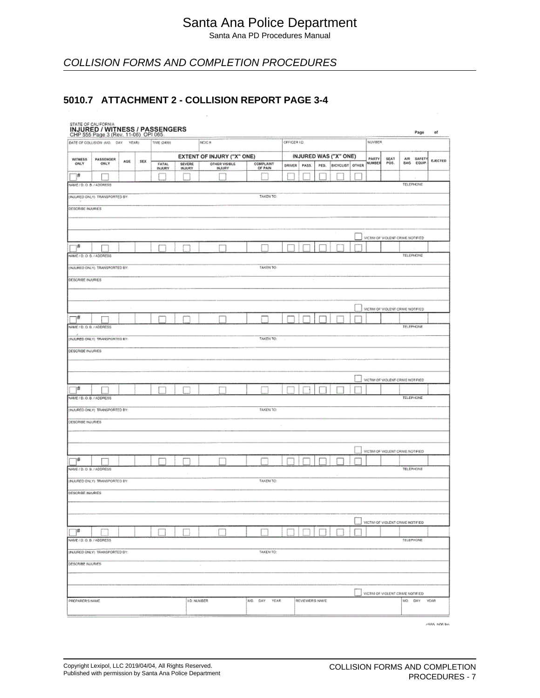Santa Ana PD Procedures Manual

## COLLISION FORMS AND COMPLETION PROCEDURES

#### **5010.7 ATTACHMENT 2 - COLLISION REPORT PAGE 3-4**

## STATE OF CAUFORNIA<br>INJURED / WITNESS / PASSENGERS

| OFFICER 1D.<br>MJMBER<br>DATE OF COLUSION (MO. DAY YEAR)<br>TIME (2400)<br>NGIC.#<br>EXTENT OF INJURY ("X" ONE)<br>INJURED WAS ("X" ONE)<br>PARTY<br>SEAT<br>AIR SAFETY<br><b>WITHESS</b><br><b>PASSENGER</b><br>EJECTED<br>AGE<br>SEX<br>OTHER VISIBLE<br>NUMBER<br>POS.<br>BAG EQUIP.<br>ONLY<br><b>ONLY</b><br>SEVERE<br>INJURY<br>COMPLAINT<br>OF PAIN<br>FATAL<br>INJURY<br><b>DRIVER</b><br>BICYCLIST OTHER<br><b>PASS</b><br>PED.<br>1#<br><b>TELEPHONE</b><br>NAME/D.O.B./ADDRESS<br>(INJURED ONLY) TRANSPORTED BY:<br>TAKEN TO:<br><b>DESCRIBE INJURIES</b><br>VICTIM OF VIOLENT CRIME NOTIFIED<br>¦#<br><b>TELEPHONE</b><br>NAME / 0.0.8. / ADDRESS<br><b>TAKEN TO:</b><br>(INJURED ONLY) TRANSPORTED BY:<br><b>DESCRIBE INJURIES</b><br>VICTIM OF VIOLENT CRIME NOTIFIED<br>₩<br><b>TELEPHONE</b><br>NAME / D.O.B. / ADDRESS<br>TAKEN TO:<br>(INJURED ONLY) TRANSPORTED BY:<br>DESCRIBE INJURIES<br>WOTIM OF VIOLENT CRIME NOTIFIED<br>1#<br>TELEPHONE<br>NAME / D. O. B. / ADDRESS<br>(INJURED ONLY) TRANSPORTED BY:<br><b>TAKEN TO:</b><br>DESCRIBE INJURIES<br>VICTIM OF VIOLENT CRIME NOTFIED<br>#<br>NAME / D. O. B. / ADDRESS<br>TELEPHONE<br>(INJURED ONLY) TRANSPORTED BY:<br><b>TAKEN TO:</b><br>DESCRIBE MJURIES<br>VICTIM OF VIOLENT CRIME NOTIFIED<br>$\mathbb{T}^{\sharp}$<br>NAME/D.O.B./ADDRESS<br>TELEPHONE<br>(INJURED ONLY) TRANSPORTED BY:<br>TAKEN TO:<br>DESCRIBE INJURIES<br>×<br>VICTIM OF VIOLENT CRIVE NOTIFIED<br>MO: DAY YEAR<br><b>PREPARER S NAME</b><br>MO. DAY YEAR<br><b>I.D. NUMBER</b><br>REVIEWER'S NAME | CHP 555 Page 3 (Rev. 11-06) OPI 065 |  | --- |  |            |  |  |  |  |  |
|--------------------------------------------------------------------------------------------------------------------------------------------------------------------------------------------------------------------------------------------------------------------------------------------------------------------------------------------------------------------------------------------------------------------------------------------------------------------------------------------------------------------------------------------------------------------------------------------------------------------------------------------------------------------------------------------------------------------------------------------------------------------------------------------------------------------------------------------------------------------------------------------------------------------------------------------------------------------------------------------------------------------------------------------------------------------------------------------------------------------------------------------------------------------------------------------------------------------------------------------------------------------------------------------------------------------------------------------------------------------------------------------------------------------------------------------------------------------------------------------------------------------------------------------------------|-------------------------------------|--|-----|--|------------|--|--|--|--|--|
|                                                                                                                                                                                                                                                                                                                                                                                                                                                                                                                                                                                                                                                                                                                                                                                                                                                                                                                                                                                                                                                                                                                                                                                                                                                                                                                                                                                                                                                                                                                                                        |                                     |  |     |  | Page<br>of |  |  |  |  |  |
|                                                                                                                                                                                                                                                                                                                                                                                                                                                                                                                                                                                                                                                                                                                                                                                                                                                                                                                                                                                                                                                                                                                                                                                                                                                                                                                                                                                                                                                                                                                                                        |                                     |  |     |  |            |  |  |  |  |  |
|                                                                                                                                                                                                                                                                                                                                                                                                                                                                                                                                                                                                                                                                                                                                                                                                                                                                                                                                                                                                                                                                                                                                                                                                                                                                                                                                                                                                                                                                                                                                                        |                                     |  |     |  |            |  |  |  |  |  |
|                                                                                                                                                                                                                                                                                                                                                                                                                                                                                                                                                                                                                                                                                                                                                                                                                                                                                                                                                                                                                                                                                                                                                                                                                                                                                                                                                                                                                                                                                                                                                        |                                     |  |     |  |            |  |  |  |  |  |
|                                                                                                                                                                                                                                                                                                                                                                                                                                                                                                                                                                                                                                                                                                                                                                                                                                                                                                                                                                                                                                                                                                                                                                                                                                                                                                                                                                                                                                                                                                                                                        |                                     |  |     |  |            |  |  |  |  |  |
|                                                                                                                                                                                                                                                                                                                                                                                                                                                                                                                                                                                                                                                                                                                                                                                                                                                                                                                                                                                                                                                                                                                                                                                                                                                                                                                                                                                                                                                                                                                                                        |                                     |  |     |  |            |  |  |  |  |  |
|                                                                                                                                                                                                                                                                                                                                                                                                                                                                                                                                                                                                                                                                                                                                                                                                                                                                                                                                                                                                                                                                                                                                                                                                                                                                                                                                                                                                                                                                                                                                                        |                                     |  |     |  |            |  |  |  |  |  |
|                                                                                                                                                                                                                                                                                                                                                                                                                                                                                                                                                                                                                                                                                                                                                                                                                                                                                                                                                                                                                                                                                                                                                                                                                                                                                                                                                                                                                                                                                                                                                        |                                     |  |     |  |            |  |  |  |  |  |
|                                                                                                                                                                                                                                                                                                                                                                                                                                                                                                                                                                                                                                                                                                                                                                                                                                                                                                                                                                                                                                                                                                                                                                                                                                                                                                                                                                                                                                                                                                                                                        |                                     |  |     |  |            |  |  |  |  |  |
|                                                                                                                                                                                                                                                                                                                                                                                                                                                                                                                                                                                                                                                                                                                                                                                                                                                                                                                                                                                                                                                                                                                                                                                                                                                                                                                                                                                                                                                                                                                                                        |                                     |  |     |  |            |  |  |  |  |  |
|                                                                                                                                                                                                                                                                                                                                                                                                                                                                                                                                                                                                                                                                                                                                                                                                                                                                                                                                                                                                                                                                                                                                                                                                                                                                                                                                                                                                                                                                                                                                                        |                                     |  |     |  |            |  |  |  |  |  |
|                                                                                                                                                                                                                                                                                                                                                                                                                                                                                                                                                                                                                                                                                                                                                                                                                                                                                                                                                                                                                                                                                                                                                                                                                                                                                                                                                                                                                                                                                                                                                        |                                     |  |     |  |            |  |  |  |  |  |
|                                                                                                                                                                                                                                                                                                                                                                                                                                                                                                                                                                                                                                                                                                                                                                                                                                                                                                                                                                                                                                                                                                                                                                                                                                                                                                                                                                                                                                                                                                                                                        |                                     |  |     |  |            |  |  |  |  |  |
|                                                                                                                                                                                                                                                                                                                                                                                                                                                                                                                                                                                                                                                                                                                                                                                                                                                                                                                                                                                                                                                                                                                                                                                                                                                                                                                                                                                                                                                                                                                                                        |                                     |  |     |  |            |  |  |  |  |  |
|                                                                                                                                                                                                                                                                                                                                                                                                                                                                                                                                                                                                                                                                                                                                                                                                                                                                                                                                                                                                                                                                                                                                                                                                                                                                                                                                                                                                                                                                                                                                                        |                                     |  |     |  |            |  |  |  |  |  |
|                                                                                                                                                                                                                                                                                                                                                                                                                                                                                                                                                                                                                                                                                                                                                                                                                                                                                                                                                                                                                                                                                                                                                                                                                                                                                                                                                                                                                                                                                                                                                        |                                     |  |     |  |            |  |  |  |  |  |
|                                                                                                                                                                                                                                                                                                                                                                                                                                                                                                                                                                                                                                                                                                                                                                                                                                                                                                                                                                                                                                                                                                                                                                                                                                                                                                                                                                                                                                                                                                                                                        |                                     |  |     |  |            |  |  |  |  |  |
|                                                                                                                                                                                                                                                                                                                                                                                                                                                                                                                                                                                                                                                                                                                                                                                                                                                                                                                                                                                                                                                                                                                                                                                                                                                                                                                                                                                                                                                                                                                                                        |                                     |  |     |  |            |  |  |  |  |  |
|                                                                                                                                                                                                                                                                                                                                                                                                                                                                                                                                                                                                                                                                                                                                                                                                                                                                                                                                                                                                                                                                                                                                                                                                                                                                                                                                                                                                                                                                                                                                                        |                                     |  |     |  |            |  |  |  |  |  |
|                                                                                                                                                                                                                                                                                                                                                                                                                                                                                                                                                                                                                                                                                                                                                                                                                                                                                                                                                                                                                                                                                                                                                                                                                                                                                                                                                                                                                                                                                                                                                        |                                     |  |     |  |            |  |  |  |  |  |
|                                                                                                                                                                                                                                                                                                                                                                                                                                                                                                                                                                                                                                                                                                                                                                                                                                                                                                                                                                                                                                                                                                                                                                                                                                                                                                                                                                                                                                                                                                                                                        |                                     |  |     |  |            |  |  |  |  |  |
|                                                                                                                                                                                                                                                                                                                                                                                                                                                                                                                                                                                                                                                                                                                                                                                                                                                                                                                                                                                                                                                                                                                                                                                                                                                                                                                                                                                                                                                                                                                                                        |                                     |  |     |  |            |  |  |  |  |  |
|                                                                                                                                                                                                                                                                                                                                                                                                                                                                                                                                                                                                                                                                                                                                                                                                                                                                                                                                                                                                                                                                                                                                                                                                                                                                                                                                                                                                                                                                                                                                                        |                                     |  |     |  |            |  |  |  |  |  |
|                                                                                                                                                                                                                                                                                                                                                                                                                                                                                                                                                                                                                                                                                                                                                                                                                                                                                                                                                                                                                                                                                                                                                                                                                                                                                                                                                                                                                                                                                                                                                        |                                     |  |     |  |            |  |  |  |  |  |
|                                                                                                                                                                                                                                                                                                                                                                                                                                                                                                                                                                                                                                                                                                                                                                                                                                                                                                                                                                                                                                                                                                                                                                                                                                                                                                                                                                                                                                                                                                                                                        |                                     |  |     |  |            |  |  |  |  |  |
|                                                                                                                                                                                                                                                                                                                                                                                                                                                                                                                                                                                                                                                                                                                                                                                                                                                                                                                                                                                                                                                                                                                                                                                                                                                                                                                                                                                                                                                                                                                                                        |                                     |  |     |  |            |  |  |  |  |  |
|                                                                                                                                                                                                                                                                                                                                                                                                                                                                                                                                                                                                                                                                                                                                                                                                                                                                                                                                                                                                                                                                                                                                                                                                                                                                                                                                                                                                                                                                                                                                                        |                                     |  |     |  |            |  |  |  |  |  |
|                                                                                                                                                                                                                                                                                                                                                                                                                                                                                                                                                                                                                                                                                                                                                                                                                                                                                                                                                                                                                                                                                                                                                                                                                                                                                                                                                                                                                                                                                                                                                        |                                     |  |     |  |            |  |  |  |  |  |
|                                                                                                                                                                                                                                                                                                                                                                                                                                                                                                                                                                                                                                                                                                                                                                                                                                                                                                                                                                                                                                                                                                                                                                                                                                                                                                                                                                                                                                                                                                                                                        |                                     |  |     |  |            |  |  |  |  |  |
|                                                                                                                                                                                                                                                                                                                                                                                                                                                                                                                                                                                                                                                                                                                                                                                                                                                                                                                                                                                                                                                                                                                                                                                                                                                                                                                                                                                                                                                                                                                                                        |                                     |  |     |  |            |  |  |  |  |  |
|                                                                                                                                                                                                                                                                                                                                                                                                                                                                                                                                                                                                                                                                                                                                                                                                                                                                                                                                                                                                                                                                                                                                                                                                                                                                                                                                                                                                                                                                                                                                                        |                                     |  |     |  |            |  |  |  |  |  |
|                                                                                                                                                                                                                                                                                                                                                                                                                                                                                                                                                                                                                                                                                                                                                                                                                                                                                                                                                                                                                                                                                                                                                                                                                                                                                                                                                                                                                                                                                                                                                        |                                     |  |     |  |            |  |  |  |  |  |
|                                                                                                                                                                                                                                                                                                                                                                                                                                                                                                                                                                                                                                                                                                                                                                                                                                                                                                                                                                                                                                                                                                                                                                                                                                                                                                                                                                                                                                                                                                                                                        |                                     |  |     |  |            |  |  |  |  |  |
|                                                                                                                                                                                                                                                                                                                                                                                                                                                                                                                                                                                                                                                                                                                                                                                                                                                                                                                                                                                                                                                                                                                                                                                                                                                                                                                                                                                                                                                                                                                                                        |                                     |  |     |  |            |  |  |  |  |  |
|                                                                                                                                                                                                                                                                                                                                                                                                                                                                                                                                                                                                                                                                                                                                                                                                                                                                                                                                                                                                                                                                                                                                                                                                                                                                                                                                                                                                                                                                                                                                                        |                                     |  |     |  |            |  |  |  |  |  |
|                                                                                                                                                                                                                                                                                                                                                                                                                                                                                                                                                                                                                                                                                                                                                                                                                                                                                                                                                                                                                                                                                                                                                                                                                                                                                                                                                                                                                                                                                                                                                        |                                     |  |     |  |            |  |  |  |  |  |
|                                                                                                                                                                                                                                                                                                                                                                                                                                                                                                                                                                                                                                                                                                                                                                                                                                                                                                                                                                                                                                                                                                                                                                                                                                                                                                                                                                                                                                                                                                                                                        |                                     |  |     |  |            |  |  |  |  |  |
|                                                                                                                                                                                                                                                                                                                                                                                                                                                                                                                                                                                                                                                                                                                                                                                                                                                                                                                                                                                                                                                                                                                                                                                                                                                                                                                                                                                                                                                                                                                                                        |                                     |  |     |  |            |  |  |  |  |  |
|                                                                                                                                                                                                                                                                                                                                                                                                                                                                                                                                                                                                                                                                                                                                                                                                                                                                                                                                                                                                                                                                                                                                                                                                                                                                                                                                                                                                                                                                                                                                                        |                                     |  |     |  |            |  |  |  |  |  |
|                                                                                                                                                                                                                                                                                                                                                                                                                                                                                                                                                                                                                                                                                                                                                                                                                                                                                                                                                                                                                                                                                                                                                                                                                                                                                                                                                                                                                                                                                                                                                        |                                     |  |     |  |            |  |  |  |  |  |
|                                                                                                                                                                                                                                                                                                                                                                                                                                                                                                                                                                                                                                                                                                                                                                                                                                                                                                                                                                                                                                                                                                                                                                                                                                                                                                                                                                                                                                                                                                                                                        |                                     |  |     |  |            |  |  |  |  |  |
|                                                                                                                                                                                                                                                                                                                                                                                                                                                                                                                                                                                                                                                                                                                                                                                                                                                                                                                                                                                                                                                                                                                                                                                                                                                                                                                                                                                                                                                                                                                                                        |                                     |  |     |  |            |  |  |  |  |  |
|                                                                                                                                                                                                                                                                                                                                                                                                                                                                                                                                                                                                                                                                                                                                                                                                                                                                                                                                                                                                                                                                                                                                                                                                                                                                                                                                                                                                                                                                                                                                                        |                                     |  |     |  |            |  |  |  |  |  |
|                                                                                                                                                                                                                                                                                                                                                                                                                                                                                                                                                                                                                                                                                                                                                                                                                                                                                                                                                                                                                                                                                                                                                                                                                                                                                                                                                                                                                                                                                                                                                        |                                     |  |     |  |            |  |  |  |  |  |
|                                                                                                                                                                                                                                                                                                                                                                                                                                                                                                                                                                                                                                                                                                                                                                                                                                                                                                                                                                                                                                                                                                                                                                                                                                                                                                                                                                                                                                                                                                                                                        |                                     |  |     |  |            |  |  |  |  |  |
|                                                                                                                                                                                                                                                                                                                                                                                                                                                                                                                                                                                                                                                                                                                                                                                                                                                                                                                                                                                                                                                                                                                                                                                                                                                                                                                                                                                                                                                                                                                                                        |                                     |  |     |  |            |  |  |  |  |  |
|                                                                                                                                                                                                                                                                                                                                                                                                                                                                                                                                                                                                                                                                                                                                                                                                                                                                                                                                                                                                                                                                                                                                                                                                                                                                                                                                                                                                                                                                                                                                                        |                                     |  |     |  |            |  |  |  |  |  |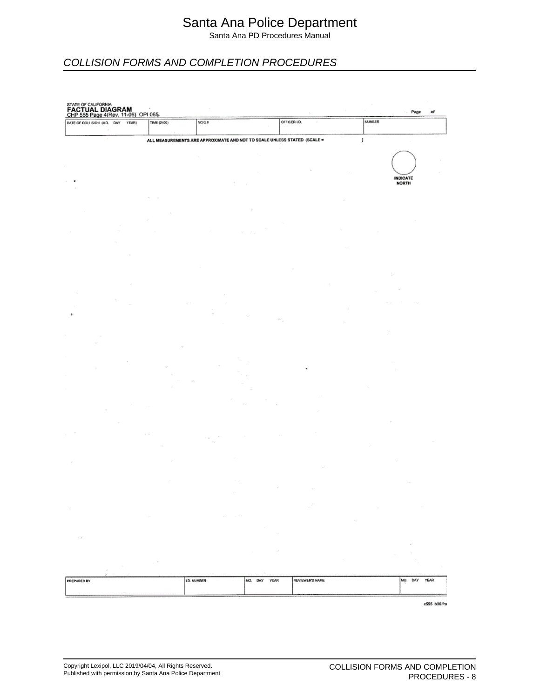Santa Ana PD Procedures Manual

## COLLISION FORMS AND COMPLETION PROCEDURES

| DATE OF COLLISION (MO. DAY | STATE OF CALIFORNIA<br><b>FACTUAL DIAGRAM</b><br>CHP 555 Page 4(Rev. 11-06) OPI 065-<br>YEAR) | TIME (2400)                               | NCIC #                                                                   |                        | OFFICER LD.<br>$\boldsymbol{\tau}$ |        | <b>NUMBER</b>            |              |
|----------------------------|-----------------------------------------------------------------------------------------------|-------------------------------------------|--------------------------------------------------------------------------|------------------------|------------------------------------|--------|--------------------------|--------------|
|                            |                                                                                               |                                           |                                                                          |                        |                                    |        |                          |              |
|                            |                                                                                               |                                           | ALL MEASUREMENTS ARE APPROXIMATE AND NOT TO SCALE UNLESS STATED (SCALE = |                        |                                    |        | y                        |              |
|                            |                                                                                               |                                           |                                                                          |                        |                                    |        |                          |              |
|                            |                                                                                               |                                           |                                                                          |                        |                                    |        |                          |              |
|                            |                                                                                               |                                           |                                                                          |                        |                                    |        |                          |              |
|                            |                                                                                               |                                           |                                                                          |                        |                                    |        | <b>INDICATE</b><br>NORTH |              |
|                            |                                                                                               |                                           |                                                                          |                        |                                    |        |                          |              |
|                            |                                                                                               |                                           |                                                                          |                        |                                    |        |                          |              |
|                            |                                                                                               |                                           |                                                                          |                        |                                    |        |                          |              |
|                            |                                                                                               |                                           |                                                                          |                        |                                    |        |                          |              |
|                            |                                                                                               |                                           |                                                                          |                        |                                    |        |                          |              |
|                            |                                                                                               |                                           |                                                                          |                        |                                    |        |                          |              |
|                            |                                                                                               |                                           |                                                                          |                        |                                    |        |                          |              |
|                            |                                                                                               |                                           |                                                                          |                        |                                    |        |                          |              |
|                            |                                                                                               |                                           |                                                                          |                        |                                    |        |                          |              |
|                            |                                                                                               |                                           |                                                                          |                        |                                    |        |                          |              |
|                            |                                                                                               |                                           |                                                                          |                        |                                    |        |                          |              |
|                            |                                                                                               |                                           |                                                                          |                        |                                    |        |                          |              |
|                            |                                                                                               |                                           |                                                                          |                        |                                    |        |                          |              |
|                            |                                                                                               |                                           |                                                                          |                        |                                    |        |                          |              |
|                            |                                                                                               |                                           |                                                                          |                        |                                    |        |                          |              |
|                            |                                                                                               |                                           |                                                                          |                        |                                    |        |                          |              |
|                            |                                                                                               |                                           |                                                                          |                        |                                    |        |                          |              |
|                            |                                                                                               |                                           |                                                                          |                        |                                    |        |                          |              |
|                            |                                                                                               |                                           |                                                                          |                        |                                    |        |                          |              |
|                            |                                                                                               |                                           |                                                                          |                        |                                    |        |                          |              |
|                            |                                                                                               |                                           |                                                                          |                        |                                    |        |                          |              |
|                            |                                                                                               |                                           |                                                                          |                        |                                    |        |                          |              |
|                            |                                                                                               |                                           |                                                                          |                        |                                    |        |                          |              |
|                            |                                                                                               |                                           |                                                                          |                        |                                    |        |                          |              |
|                            |                                                                                               |                                           |                                                                          |                        |                                    |        |                          |              |
|                            |                                                                                               |                                           |                                                                          |                        |                                    |        |                          |              |
|                            |                                                                                               |                                           |                                                                          |                        |                                    |        |                          |              |
|                            |                                                                                               |                                           |                                                                          |                        |                                    |        |                          |              |
|                            |                                                                                               |                                           |                                                                          |                        |                                    |        |                          |              |
|                            |                                                                                               |                                           |                                                                          |                        |                                    |        |                          |              |
|                            |                                                                                               |                                           |                                                                          |                        |                                    |        | $\mathcal{L}_1$          |              |
|                            |                                                                                               |                                           | $\alpha_{\rm{max}}=10^{10}$                                              |                        |                                    | $\sim$ |                          |              |
|                            |                                                                                               |                                           |                                                                          |                        |                                    |        |                          |              |
| $\mathcal{L}(\mathcal{S})$ |                                                                                               |                                           |                                                                          |                        |                                    |        |                          |              |
|                            |                                                                                               |                                           |                                                                          | $\mathbb{R}^3$         |                                    |        |                          |              |
|                            |                                                                                               | $\mathcal{V}$<br>$\overline{\phantom{a}}$ |                                                                          |                        |                                    |        |                          |              |
|                            |                                                                                               |                                           |                                                                          |                        |                                    |        |                          |              |
| PREPARED BY                |                                                                                               |                                           | <b>1D. NUMBER</b>                                                        | MO. DAY<br><b>YEAR</b> | <b>REVIEWER'S NAME</b>             |        |                          | MO. DAY YEAR |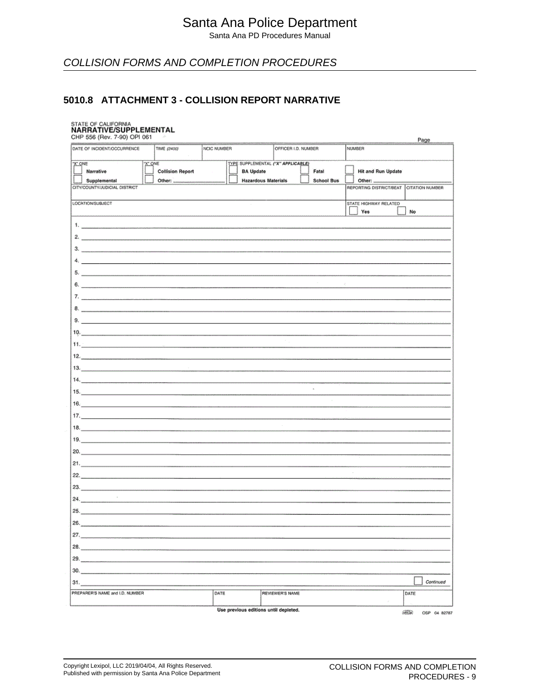Santa Ana PD Procedures Manual

## COLLISION FORMS AND COMPLETION PROCEDURES

#### **5010.8 ATTACHMENT 3 - COLLISION REPORT NARRATIVE**

## STATE OF CALIFORNIA<br>**NARRATIVE/SUPPLEMENTAL**

| 31.<br>PREPARER'S NAME and I.D. NUMBER<br>DATE<br><b>REVIEWER'S NAME</b><br>DATE                                                                                                         | Continued |
|------------------------------------------------------------------------------------------------------------------------------------------------------------------------------------------|-----------|
|                                                                                                                                                                                          |           |
|                                                                                                                                                                                          |           |
| 30.                                                                                                                                                                                      |           |
| 29.                                                                                                                                                                                      |           |
| 28.                                                                                                                                                                                      |           |
| 27.                                                                                                                                                                                      |           |
|                                                                                                                                                                                          |           |
| 25.                                                                                                                                                                                      |           |
| 24.                                                                                                                                                                                      |           |
| 23.                                                                                                                                                                                      |           |
|                                                                                                                                                                                          |           |
| 21.                                                                                                                                                                                      |           |
| 20.                                                                                                                                                                                      |           |
|                                                                                                                                                                                          |           |
| 18.                                                                                                                                                                                      |           |
|                                                                                                                                                                                          |           |
| 16.                                                                                                                                                                                      |           |
| <b>15.</b> $\blacksquare$                                                                                                                                                                |           |
| 14.<br>À,                                                                                                                                                                                |           |
|                                                                                                                                                                                          |           |
| $12.$                                                                                                                                                                                    |           |
| The common common common was a common                                                                                                                                                    |           |
| 10 <sub>c</sub>                                                                                                                                                                          |           |
|                                                                                                                                                                                          |           |
|                                                                                                                                                                                          |           |
|                                                                                                                                                                                          |           |
| 6.<br>R.                                                                                                                                                                                 |           |
| 5.                                                                                                                                                                                       |           |
|                                                                                                                                                                                          |           |
| 3.                                                                                                                                                                                       |           |
| 2.                                                                                                                                                                                       |           |
|                                                                                                                                                                                          |           |
| Yes<br>No                                                                                                                                                                                |           |
| LOCATION/SUBJECT<br>STATE HIGHWAY RELATED                                                                                                                                                |           |
| CITY/COUNTY/JUDICIAL DISTRICT<br>REPORTING DISTRICT/BEAT<br>CITATION NUMBER                                                                                                              |           |
| <b>Hit and Run Update</b><br><b>BA Update</b><br>Fatal<br>Narrative<br><b>Collision Report</b><br><b>Hazardous Materials</b><br><b>School Bus</b><br>Supplemental<br>Other:<br>Other: __ |           |
| TYPE SUPPLEMENTAL ("X" APPLICABLE)<br>X" ONE<br>"X" ONE                                                                                                                                  |           |
| DATE OF INCIDENT/OCCURRENCE<br>TIME (2400)<br>NCIC NUMBER<br>OFFICER I.D. NUMBER<br>NUMBER                                                                                               |           |
| CHP 556 (Rev. 7-90) OPI 061<br>ž,<br>Page                                                                                                                                                |           |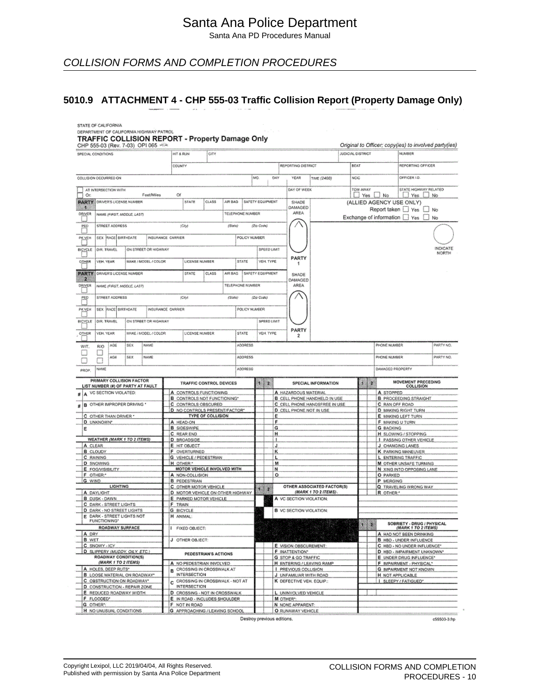Santa Ana PD Procedures Manual

COLLISION FORMS AND COMPLETION PROCEDURES

#### **5010.9 ATTACHMENT 4 - CHP 555-03 Traffic Collision Report (Property Damage Only)**

|                    |                                      |                                |                                                                  |                                | DEPARTMENT OF CALIFORNIA HIGHWAY PATROL | TRAFFIC COLLISION REPORT - Property Damage Only              |                         |         |                         |                    |             |                |                                                    |                               |                          |              |                      |                                                                 |              |
|--------------------|--------------------------------------|--------------------------------|------------------------------------------------------------------|--------------------------------|-----------------------------------------|--------------------------------------------------------------|-------------------------|---------|-------------------------|--------------------|-------------|----------------|----------------------------------------------------|-------------------------------|--------------------------|--------------|----------------------|-----------------------------------------------------------------|--------------|
|                    | SPECIAL CONDITIONS                   |                                |                                                                  | CHP 555-03 (Rev. 7-03) OPI 065 |                                         | HIT & RUN                                                    | CITY                    |         |                         |                    |             |                |                                                    |                               | <b>JUDICIAL DISTRICT</b> |              |                      | Original to Officer; copy(ies) to involved party(ies)<br>NUMBER |              |
|                    |                                      |                                |                                                                  |                                |                                         | COUNTY                                                       |                         |         |                         | REPORTING DISTRICT |             |                |                                                    | BEAT                          | REPORTING OFFICER        |              |                      |                                                                 |              |
|                    |                                      | COLLISION OCCURRED ON          |                                                                  |                                |                                         |                                                              |                         |         |                         | MÓ.                |             | DAY            | YEAR                                               | TIME (2400)                   | <b>NCIC</b>              |              |                      | OFFICER 1D.                                                     |              |
|                    |                                      | AT INTERSECTION WITH           |                                                                  |                                |                                         |                                                              |                         |         |                         |                    |             |                | DAY OF WEEK                                        |                               | TOW AWAY                 |              |                      | STATE HIGHWAY RELATED                                           |              |
| Or:                |                                      |                                | <b>PARTY DRIVER'S LICENSE NUMBER</b>                             | Feet/Miles                     |                                         | Of<br><b>STATE</b>                                           | CLASS                   | AIR BAG | SAFETY EQUIPMENT        |                    |             |                | SHADE                                              |                               |                          |              | $\Box$ Yes $\Box$ No | ∐ Yes LJ<br>(ALLIED AGENCY USE ONLY)                            | <b>No</b>    |
| W.                 |                                      |                                |                                                                  |                                |                                         |                                                              |                         |         |                         |                    |             |                | DAMAGED                                            |                               |                          |              |                      | Report taken Yes No                                             |              |
| DRIVER             |                                      |                                | NAME (FIRST, MIDDLE, LAST)                                       |                                |                                         |                                                              |                         |         | <b>TELEPHONE NUMBER</b> |                    |             |                | AREA                                               |                               |                          |              |                      | Exchange of information T Yes                                   | No.          |
| PEO<br>- 1         |                                      | <b>STREET ADDRESS</b>          |                                                                  |                                |                                         | (City)                                                       |                         | (Suite) |                         | (Zio Code)         |             |                |                                                    |                               |                          |              |                      |                                                                 |              |
| <b>PK VEH</b>      |                                      | SEX  RACE BIRTHDATE            |                                                                  | INSURANCE CARRIER              |                                         |                                                              |                         |         | POLICY NUMBER           |                    |             |                |                                                    |                               |                          |              |                      |                                                                 |              |
| BICYCLE            | <b>DIR. TRAVEL</b>                   |                                |                                                                  | ON STREET OR HIGHWAY           |                                         |                                                              |                         |         |                         |                    | SPEED LIMIT |                |                                                    |                               |                          |              |                      |                                                                 | INDICATE     |
| o l                |                                      |                                |                                                                  |                                |                                         | LICENSE NUMBER                                               |                         |         | <b>STATE</b>            |                    |             |                | PARTY                                              |                               |                          |              |                      |                                                                 | <b>NORTH</b> |
| <b>OTHER</b>       | VEH. YEAR                            |                                |                                                                  | MAKE / MODEL / COLOR           |                                         |                                                              |                         |         |                         |                    | VEH. TYPE   |                | 1                                                  |                               |                          |              |                      |                                                                 |              |
| <b>PARTY</b><br>2  | <b>ORIVER'S LICENSE NUMBER</b>       |                                |                                                                  |                                |                                         | STATE                                                        | <b>CLASS</b>            | AIR BAG | SAFETY EQUIPMENT        |                    |             |                | SHADE<br>DAMAGED                                   |                               |                          |              |                      |                                                                 |              |
| DRIVER             |                                      |                                | NAME (FIRST, MIDDLE, LAST)                                       |                                |                                         |                                                              |                         |         | TELEPHONE NUMBER        |                    |             |                | <b>AREA</b>                                        |                               |                          |              |                      |                                                                 |              |
| PEO                |                                      | STREET ADDRESS                 |                                                                  |                                |                                         | (City)                                                       |                         | (State) |                         | (Zip Code)         |             |                |                                                    |                               |                          |              |                      |                                                                 |              |
| u<br><b>PK VEH</b> |                                      | SEX RACE BIRTHDATE             |                                                                  | INSURANCE CARRIER              |                                         |                                                              |                         |         | POLICY NUMBER           |                    |             |                |                                                    |                               |                          |              |                      |                                                                 |              |
|                    |                                      |                                |                                                                  |                                |                                         |                                                              |                         |         |                         |                    |             |                |                                                    |                               |                          |              |                      |                                                                 |              |
| BICYCLE<br>n.      | <b>OIR TRAVEL</b>                    |                                |                                                                  | ON STREET OR HIGHWAY           |                                         |                                                              |                         |         |                         |                    | SPEED LIMIT |                |                                                    |                               |                          |              |                      |                                                                 |              |
| OTHER              | VEH. YEAR                            |                                |                                                                  | MAKE / MODEL / COLOR           |                                         | LICENSE NUMBER                                               |                         |         | STATE                   |                    | VEH. TYPE   |                | PARTY<br>2                                         |                               |                          |              |                      |                                                                 |              |
| WIT.               | <b>RIO</b>                           | Mali                           | SEX                                                              | <b>NAME</b>                    |                                         |                                                              |                         |         | <b>ADORESS</b>          |                    |             |                |                                                    |                               |                          |              | PHONE NUMBER         |                                                                 | PARTY NO.    |
|                    |                                      | <b>AGE</b>                     | <b>SEX</b>                                                       | NAME                           |                                         |                                                              |                         |         | <b>ADORESS</b>          |                    |             |                |                                                    |                               |                          |              | PHONE NUMBER         |                                                                 | PARTY NO.    |
|                    |                                      |                                |                                                                  |                                |                                         |                                                              |                         |         |                         |                    |             |                |                                                    |                               |                          |              |                      |                                                                 |              |
| PROP.              | NAME                                 |                                |                                                                  |                                |                                         |                                                              |                         |         | <b>ADORESS</b>          |                    |             |                |                                                    |                               |                          |              |                      | DAMAGED PROPERTY                                                |              |
|                    |                                      |                                | PRIMARY COLLISION FACTOR<br>LIST NUMBER (#) OF PARTY AT FAULT    |                                |                                         |                                                              | TRAFFIC CONTROL DEVICES |         |                         | Ŧ                  | Q           |                |                                                    | SPECIAL INFORMATION           | Đ                        | ×            |                      | MOVEMENT PRECEDING<br><b>COLLISION</b>                          |              |
| A                  |                                      | VC SECTION VIOLATED:           |                                                                  |                                |                                         | A CONTROLS FUNCTIONING<br><b>B</b> CONTROLS NOT FUNCTIONING* |                         |         |                         |                    |             |                | A HAZARDOUS MATERIAL                               | B CELL PHONE HANDHELD IN USE  |                          |              | A STOPPED            | <b>B</b> PROCEEDING STRAIGHT                                    |              |
|                    |                                      |                                | <b>B</b> OTHER IMPROPER DRIVING *                                |                                |                                         | C CONTROLS OBSCURED                                          |                         |         |                         |                    |             |                |                                                    | C CELL PHONE HANDSFREE IN USE |                          |              |                      | C RAN OFF ROAD                                                  |              |
|                    |                                      | C. OTHER THAN DRIVER *.        |                                                                  |                                |                                         | D NO CONTROLS PRESENT/FACTOR*                                | TYPE OF COLLISION       |         |                         |                    |             | E.             | D CELL PHONE NOT IN USE                            |                               |                          |              |                      | <b>D</b> MAKING RIGHT TURN<br>E. MAKING LEFT TURN               |              |
|                    | <b>D</b> UNKNOWN*                    |                                |                                                                  |                                |                                         | A HEAD-ON                                                    |                         |         |                         |                    |             | F              |                                                    |                               |                          |              |                      | F. MAKING U TURN                                                |              |
| Ε                  |                                      |                                |                                                                  |                                |                                         | <b>B</b> SIDESWIPE                                           |                         |         |                         |                    |             | G              |                                                    |                               |                          |              | <b>G</b> BACKING     |                                                                 |              |
|                    |                                      |                                | WEATHER (MARK 1 TO 2 ITEMS)                                      |                                |                                         | C REAR END<br><b>D</b> BROADSIDE                             |                         |         |                         |                    |             | н<br>٠         |                                                    |                               |                          |              |                      | <b>H</b> SLOWING / STOPPING<br><b>I PASSING OTHER VEHICLE</b>   |              |
|                    | A CLEAR                              |                                |                                                                  |                                |                                         | E HIT OBJECT                                                 |                         |         |                         |                    |             | J              |                                                    |                               |                          |              |                      | J CHANGING LANES                                                |              |
|                    | <b>B</b> CLOUDY                      |                                |                                                                  |                                |                                         | F OVERTURNED                                                 |                         |         |                         |                    |             | к              |                                                    |                               |                          |              |                      | <b>K PARKING MANEUVER</b>                                       |              |
|                    | C RAINING                            |                                |                                                                  |                                |                                         | <b>G</b> VEHICLE / PEDESTRIAN                                |                         |         |                         |                    |             | L              |                                                    |                               |                          |              |                      | L ENTERING TRAFFIC                                              |              |
|                    | <b>D</b> SNOWING<br>E FOG/VISIBILITY |                                |                                                                  |                                |                                         | H OTHER:<br>MOTOR VEHICLE INVOLVED WITH                      |                         |         |                         |                    |             | M<br>N         |                                                    |                               |                          |              |                      | M OTHER UNSAFE TURNING<br>N XING INTO OPPOSING LANE             |              |
|                    | F OTHER:                             |                                |                                                                  |                                |                                         | A NON-COLLISION                                              |                         |         |                         |                    |             | ۰              |                                                    |                               |                          |              | O PARKED             |                                                                 |              |
| G. WIND            |                                      |                                |                                                                  |                                |                                         | <b>B PEDESTRIAN</b>                                          |                         |         |                         |                    |             |                |                                                    |                               |                          |              | P MERGING            |                                                                 |              |
|                    |                                      | <b>LIGHTING</b>                |                                                                  |                                |                                         | C OTHER MOTOR VEHICLE                                        |                         |         |                         | d.                 | 2           |                |                                                    | OTHER ASSOCIATED FACTOR(S)    |                          |              |                      | Q TRAVELING WRONG WAY                                           |              |
|                    | A DAYLIGHT<br><b>B</b> DUSK - DAWN   |                                |                                                                  |                                |                                         | D MOTOR VEHICLE ON OTHER HIGHWAY<br>E PARKED MOTOR VEHICLE   |                         |         |                         |                    |             |                | A VC SECTION VIOLATION:                            | (MARK 1 TO 2 ITEMS).          |                          |              | R OTHER:*            |                                                                 |              |
|                    |                                      | <b>C. DARK - STREET LIGHTS</b> |                                                                  |                                |                                         | F TRAIN                                                      |                         |         |                         |                    |             |                |                                                    |                               |                          |              |                      |                                                                 |              |
|                    |                                      |                                | D DARK - NO STREET LIGHTS                                        |                                |                                         | <b>G</b> BICYCLE                                             |                         |         |                         |                    |             |                | <b>B</b> VC SECTION VIOLATION:                     |                               |                          |              |                      |                                                                 |              |
|                    | <b>FUNCTIONING*</b>                  |                                | E DARK - STREET LIGHTS NOT                                       |                                |                                         | H ANIMAL:                                                    |                         |         |                         |                    |             |                |                                                    |                               |                          |              |                      |                                                                 |              |
|                    |                                      |                                | ROADWAY SURFACE                                                  |                                |                                         | FIXED OBJECT:                                                |                         |         |                         |                    |             |                |                                                    |                               |                          | $\mathbf{z}$ |                      | SOBRIETY - DRUG / PHYSICAL<br>(MARK 1 TO 2 ITEMS)               |              |
| A DRY              |                                      |                                |                                                                  |                                |                                         |                                                              |                         |         |                         |                    |             |                |                                                    |                               |                          |              |                      | A HAD NOT BEEN DRINKING                                         |              |
| B WET              | C SNOWY-ICY                          |                                |                                                                  |                                |                                         | J OTHER OBJECT:                                              |                         |         |                         |                    |             |                | E VISION OBSCUREMENT:                              |                               |                          |              |                      | <b>B H8D - UNDER INFLUENCE</b><br>C HBD - NO UNDER INFLUENCE*   |              |
|                    |                                      |                                | D SLIPPERY (MUDDY, OILY, ETC.)                                   |                                |                                         |                                                              |                         |         |                         |                    |             |                | F INATTENTION*                                     |                               |                          |              |                      | D HBD - IMPAIRMENT UNKNOWN*                                     |              |
|                    |                                      |                                | ROADWAY CONDITION(S)                                             |                                |                                         |                                                              | PEDESTRIAN'S ACTIONS    |         |                         |                    |             |                | G STOP & GO TRAFFIC                                |                               |                          |              |                      | E UNDER DRUG INFLUENCE*                                         |              |
|                    |                                      | (MARK 1 TO 2 ITEMS)            |                                                                  |                                |                                         | A. NO PEDESTRIAN INVOLVED.                                   |                         |         |                         |                    |             |                |                                                    | H ENTERING / LEAVING RAMP     |                          |              |                      | F IMPAIRMENT - PHYSICAL*                                        |              |
|                    |                                      | A HOLES, DEEP RUTS*            |                                                                  |                                |                                         | B CROSSING IN CROSSWALK AT                                   |                         |         |                         |                    |             |                | I PREVIOUS COLLISION                               |                               |                          |              |                      | <b>G IMPAIRMENT NOT KNOWN</b>                                   |              |
|                    |                                      |                                | <b>B</b> LOOSE MATERIAL ON ROADWAY"<br>C OBSTRUCTION ON ROADWAY* |                                |                                         | <b>INTERSECTION</b><br>C CROSSING IN CROSSWALK - NOT AT      |                         |         |                         |                    |             |                | J UNFAMILIAR WITH ROAD<br>K DEFECTIVE VEH. EQUIP.: |                               |                          |              |                      | <b>H</b> NOT APPLICABLE<br>SLEEPY/FATIGUED*                     |              |
|                    |                                      |                                | D CONSTRUCTION - REPAIR ZONE                                     |                                |                                         | <b>INTERSECTION</b>                                          |                         |         |                         |                    |             |                |                                                    |                               |                          |              |                      |                                                                 |              |
|                    |                                      |                                | E REDUCED ROADWAY WIDTH.                                         |                                |                                         | D CROSSING - NOT IN CROSSWALK                                |                         |         |                         |                    |             |                | L UNINVOLVED VEHICLE                               |                               |                          |              |                      |                                                                 |              |
|                    |                                      |                                |                                                                  |                                |                                         |                                                              |                         |         |                         |                    |             |                |                                                    |                               |                          |              |                      |                                                                 |              |
|                    | F FLOODED*                           |                                |                                                                  |                                |                                         | E IN ROAD - INCLUDES SHOULDER                                |                         |         |                         |                    |             | <b>MOTHER:</b> |                                                    |                               |                          |              |                      |                                                                 |              |
|                    | <b>G OTHER</b> <sup>*</sup>          |                                | H NO UNUSUAL CONDITIONS                                          |                                |                                         | F NOT IN ROAD<br><b>G</b> APPROACHING / LEAVING SCHOOL       |                         |         |                         |                    |             |                | N NONE APPARENT:<br>O RUNAWAY VEHICLE              |                               |                          |              |                      |                                                                 |              |

Destroy previous editions.